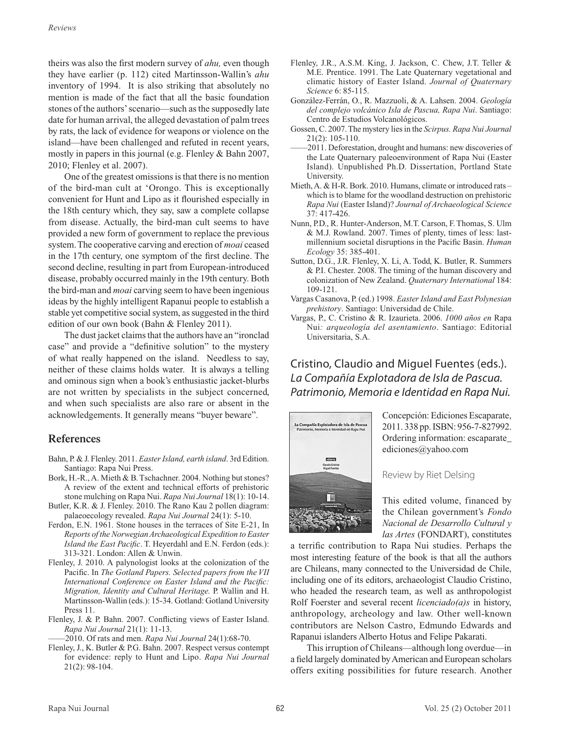theirs was also the first modern survey of *ahu,* even though they have earlier (p. 112) cited Martinsson-Wallin's *ahu* inventory of 1994. It is also striking that absolutely no mention is made of the fact that all the basic foundation stones of the authors' scenario—such as the supposedly late date for human arrival, the alleged devastation of palm trees by rats, the lack of evidence for weapons or violence on the island—have been challenged and refuted in recent years, mostly in papers in this journal (e.g. Flenley & Bahn 2007, 2010; Flenley et al. 2007).

One of the greatest omissions is that there is no mention of the bird-man cult at 'Orongo. This is exceptionally convenient for Hunt and Lipo as it flourished especially in the 18th century which, they say, saw a complete collapse from disease. Actually, the bird-man cult seems to have provided a new form of government to replace the previous system. The cooperative carving and erection of *moai* ceased in the 17th century, one symptom of the first decline. The second decline, resulting in part from European-introduced disease, probably occurred mainly in the 19th century. Both the bird-man and *moai* carving seem to have been ingenious ideas by the highly intelligent Rapanui people to establish a stable yet competitive social system, as suggested in the third edition of our own book (Bahn & Flenley 2011).

The dust jacket claims that the authors have an "ironclad case" and provide a "definitive solution" to the mystery of what really happened on the island. Needless to say, neither of these claims holds water. It is always a telling and ominous sign when a book's enthusiastic jacket-blurbs are not written by specialists in the subject concerned, and when such specialists are also rare or absent in the acknowledgements. It generally means "buyer beware".

## **References**

- Bahn, P. & J. Flenley. 2011. *Easter Island, earth island*. 3rd Edition. Santiago: Rapa Nui Press.
- Bork, H.-R., A. Mieth & B. Tschachner. 2004. Nothing but stones? A review of the extent and technical efforts of prehistoric stone mulching on Rapa Nui. *Rapa Nui Journal* 18(1): 10-14.
- Butler, K.R. & J. Flenley. 2010. The Rano Kau 2 pollen diagram: palaeoecology revealed. *Rapa Nui Journal* 24(1): 5-10.
- Ferdon, E.N. 1961. Stone houses in the terraces of Site E-21, In *Reports of the Norwegian Archaeological Expedition to Easter Island the East Pacific*. T. Heyerdahl and E.N. Ferdon (eds.): 313-321. London: Allen & Unwin.
- Flenley, J. 2010. A palynologist looks at the colonization of the Pacific. In *The Gotland Papers. Selected papers from the VII International Conference on Easter Island and the Pacific: Migration, Identity and Cultural Heritage.* P. Wallin and H. Martinsson-Wallin (eds.): 15-34. Gotland: Gotland University Press 11.
- Flenley, J. & P. Bahn. 2007. Conflicting views of Easter Island. *Rapa Nui Journal* 21(1): 11-13.

——2010. Of rats and men. *Rapa Nui Journal* 24(1):68-70.

Flenley, J., K. Butler & P.G. Bahn. 2007. Respect versus contempt for evidence: reply to Hunt and Lipo. *Rapa Nui Journal*  21(2): 98-104.

- Flenley, J.R., A.S.M. King, J. Jackson, C. Chew, J.T. Teller & M.E. Prentice. 1991. The Late Quaternary vegetational and climatic history of Easter Island. *Journal of Quaternary Science* 6: 85-115.
- González-Ferrán, O., R. Mazzuoli, & A. Lahsen. 2004. *Geología del complejo volcánico Isla de Pascua, Rapa Nui*. Santiago: Centro de Estudios Volcanológicos.
- Gossen, C. 2007. The mystery lies in the *Scirpus. Rapa Nui Journal*  21(2): 105-110.
- -2011. Deforestation, drought and humans: new discoveries of the Late Quaternary paleoenvironment of Rapa Nui (Easter Island). Unpublished Ph.D. Dissertation, Portland State University.
- Mieth, A. & H-R. Bork. 2010. Humans, climate or introduced rats which is to blame for the woodland destruction on prehistoric *Rapa Nui* (Easter Island)? *Journal of Archaeological Science*  37: 417-426.
- Nunn, P.D., R. Hunter-Anderson, M.T. Carson, F. Thomas, S. Ulm & M.J. Rowland. 2007. Times of plenty, times of less: lastmillennium societal disruptions in the Pacific Basin. *Human Ecology* 35: 385-401.
- Sutton, D.G., J.R. Flenley, X. Li, A. Todd, K. Butler, R. Summers & P.I. Chester. 2008. The timing of the human discovery and colonization of New Zealand. *Quaternary International* 184: 109-121.
- Vargas Casanova, P. (ed.) 1998. *Easter Island and East Polynesian prehistory*. Santiago: Universidad de Chile.
- Vargas, P., C. Cristino & R. Izaurieta. 2006. *1000 años en* Rapa Nui*: arqueología del asentamiento*. Santiago: Editorial Universitaria, S.A.

## Cristino, Claudio and Miguel Fuentes (eds.). *La Compañía Explotadora de Isla de Pascua. Patrimonio, Memoria e Identidad en Rapa Nui.*



Concepción: Ediciones Escaparate, 2011. 338 pp. ISBN: 956-7-827992. Ordering information: escaparate\_ ediciones@yahoo.com

Review by Riet Delsing

This edited volume, financed by the Chilean government's *Fondo Nacional de Desarrollo Cultural y las Artes* (FONDART), constitutes

a terrific contribution to Rapa Nui studies. Perhaps the most interesting feature of the book is that all the authors are Chileans, many connected to the Universidad de Chile, including one of its editors, archaeologist Claudio Cristino, who headed the research team, as well as anthropologist Rolf Foerster and several recent *licenciado(a)s* in history, anthropology, archeology and law. Other well-known contributors are Nelson Castro, Edmundo Edwards and Rapanui islanders Alberto Hotus and Felipe Pakarati.

This irruption of Chileans—although long overdue—in a field largely dominated by American and European scholars offers exiting possibilities for future research. Another